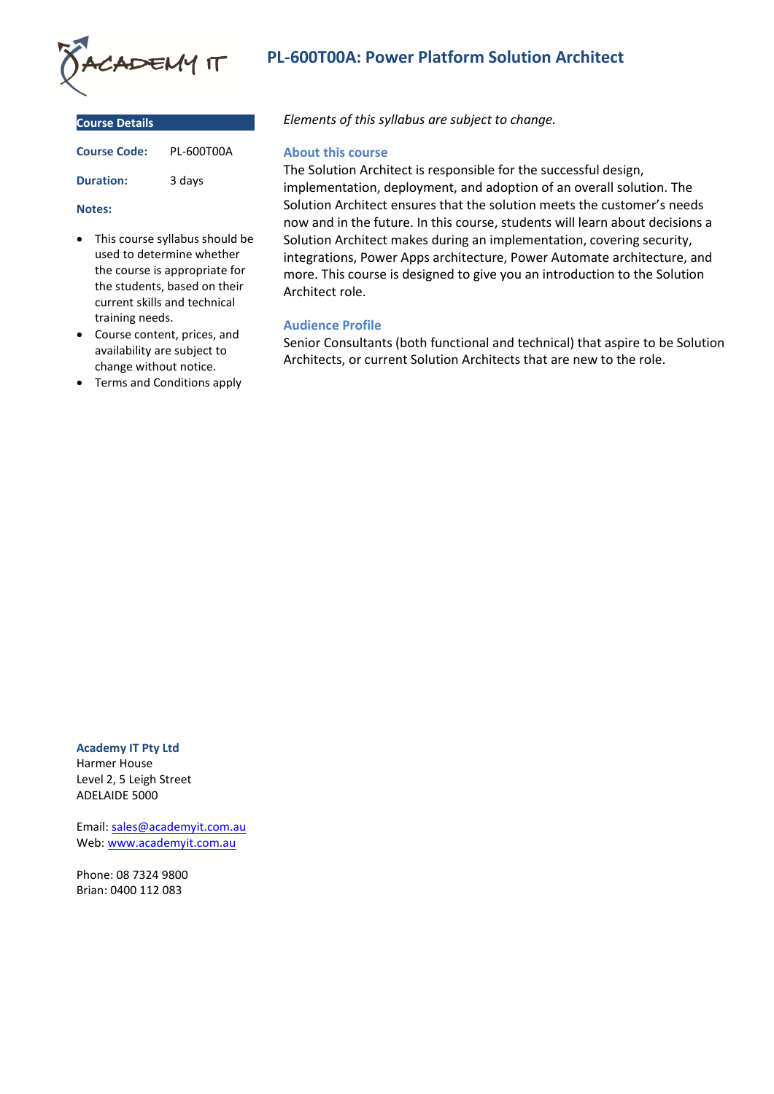

| <b>Course Details</b> |            |
|-----------------------|------------|
| <b>Course Code:</b>   | PI-600T00A |
| <b>Duration:</b>      | 3 days     |

#### **Notes:**

- This course syllabus should be used to determine whether the course is appropriate for the students, based on their current skills and technical training needs.
- Course content, prices, and availability are subject to change without notice.
- Terms and Conditions apply

# **PL-600T00A: Power Platform Solution Architect**

*Elements of this syllabus are subject to change.*

# **About this course**

The Solution Architect is responsible for the successful design, implementation, deployment, and adoption of an overall solution. The Solution Architect ensures that the solution meets the customer's needs now and in the future. In this course, students will learn about decisions a Solution Architect makes during an implementation, covering security, integrations, Power Apps architecture, Power Automate architecture, and more. This course is designed to give you an introduction to the Solution Architect role.

# **Audience Profile**

Senior Consultants (both functional and technical) that aspire to be Solution Architects, or current Solution Architects that are new to the role.

**Academy IT Pty Ltd** Harmer House

Level 2, 5 Leigh Street ADELAIDE 5000

Email: [sales@academyit.com.au](mailto:sales@academyit.com.au) Web: [www.academyit.com.au](http://www.academyit.com.au/)

Phone: 08 7324 9800 Brian: 0400 112 083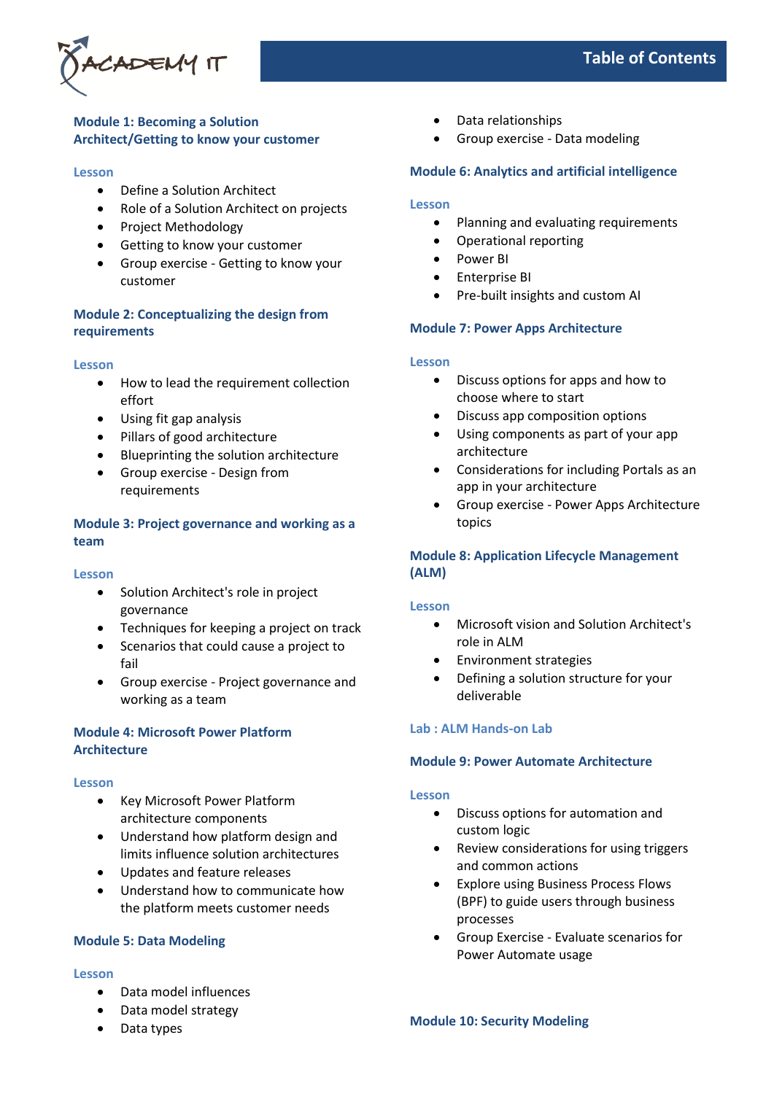

# **Table of Contents**

# **Module 1: Becoming a Solution Architect/Getting to know your customer**

#### **Lesson**

- Define a Solution Architect
- Role of a Solution Architect on projects
- Project Methodology
- Getting to know your customer
- Group exercise Getting to know your customer

# **Module 2: Conceptualizing the design from requirements**

#### **Lesson**

- How to lead the requirement collection effort
- Using fit gap analysis
- Pillars of good architecture
- Blueprinting the solution architecture
- Group exercise Design from requirements

# **Module 3: Project governance and working as a team**

## **Lesson**

- Solution Architect's role in project governance
- Techniques for keeping a project on track
- Scenarios that could cause a project to fail
- Group exercise Project governance and working as a team

# **Module 4: Microsoft Power Platform Architecture**

## **Lesson**

- Key Microsoft Power Platform architecture components
- Understand how platform design and limits influence solution architectures
- Updates and feature releases
- Understand how to communicate how the platform meets customer needs

# **Module 5: Data Modeling**

# **Lesson**

- Data model influences
- Data model strategy
- Data types
- Data relationships
- Group exercise Data modeling

# **Module 6: Analytics and artificial intelligence**

# **Lesson**

- Planning and evaluating requirements
- Operational reporting
- Power BI
- Enterprise BI
- Pre-built insights and custom AI

## **Module 7: Power Apps Architecture**

#### **Lesson**

- Discuss options for apps and how to choose where to start
- Discuss app composition options
- Using components as part of your app architecture
- Considerations for including Portals as an app in your architecture
- Group exercise Power Apps Architecture topics

# **Module 8: Application Lifecycle Management (ALM)**

## **Lesson**

- Microsoft vision and Solution Architect's role in ALM
- Environment strategies
- Defining a solution structure for your deliverable

## **Lab : ALM Hands-on Lab**

## **Module 9: Power Automate Architecture**

## **Lesson**

- Discuss options for automation and custom logic
- Review considerations for using triggers and common actions
- Explore using Business Process Flows (BPF) to guide users through business processes
- Group Exercise Evaluate scenarios for Power Automate usage

**Module 10: Security Modeling**